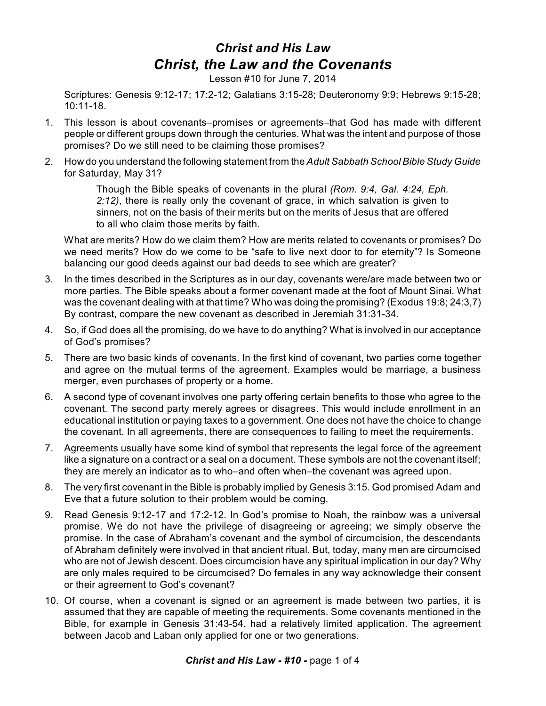## *Christ and His Law Christ, the Law and the Covenants*

Lesson #10 for June 7, 2014

Scriptures: Genesis 9:12-17; 17:2-12; Galatians 3:15-28; Deuteronomy 9:9; Hebrews 9:15-28; 10:11-18.

- 1. This lesson is about covenants–promises or agreements–that God has made with different people or different groups down through the centuries. What was the intent and purpose of those promises? Do we still need to be claiming those promises?
- 2. How do you understand the following statement from the *Adult Sabbath School Bible Study Guide* for Saturday, May 31?

Though the Bible speaks of covenants in the plural *(Rom. 9:4, Gal. 4:24, Eph. 2:12)*, there is really only the covenant of grace, in which salvation is given to sinners, not on the basis of their merits but on the merits of Jesus that are offered to all who claim those merits by faith.

What are merits? How do we claim them? How are merits related to covenants or promises? Do we need merits? How do we come to be "safe to live next door to for eternity"? Is Someone balancing our good deeds against our bad deeds to see which are greater?

- 3. In the times described in the Scriptures as in our day, covenants were/are made between two or more parties. The Bible speaks about a former covenant made at the foot of Mount Sinai. What was the covenant dealing with at that time? Who was doing the promising? (Exodus 19:8; 24:3,7) By contrast, compare the new covenant as described in Jeremiah 31:31-34.
- 4. So, if God does all the promising, do we have to do anything? What is involved in our acceptance of God's promises?
- 5. There are two basic kinds of covenants. In the first kind of covenant, two parties come together and agree on the mutual terms of the agreement. Examples would be marriage, a business merger, even purchases of property or a home.
- 6. A second type of covenant involves one party offering certain benefits to those who agree to the covenant. The second party merely agrees or disagrees. This would include enrollment in an educational institution or paying taxes to a government. One does not have the choice to change the covenant. In all agreements, there are consequences to failing to meet the requirements.
- 7. Agreements usually have some kind of symbol that represents the legal force of the agreement like a signature on a contract or a seal on a document. These symbols are not the covenant itself; they are merely an indicator as to who–and often when–the covenant was agreed upon.
- 8. The very first covenant in the Bible is probably implied by Genesis 3:15. God promised Adam and Eve that a future solution to their problem would be coming.
- 9. Read Genesis 9:12-17 and 17:2-12. In God's promise to Noah, the rainbow was a universal promise. We do not have the privilege of disagreeing or agreeing; we simply observe the promise. In the case of Abraham's covenant and the symbol of circumcision, the descendants of Abraham definitely were involved in that ancient ritual. But, today, many men are circumcised who are not of Jewish descent. Does circumcision have any spiritual implication in our day? Why are only males required to be circumcised? Do females in any way acknowledge their consent or their agreement to God's covenant?
- 10. Of course, when a covenant is signed or an agreement is made between two parties, it is assumed that they are capable of meeting the requirements. Some covenants mentioned in the Bible, for example in Genesis 31:43-54, had a relatively limited application. The agreement between Jacob and Laban only applied for one or two generations.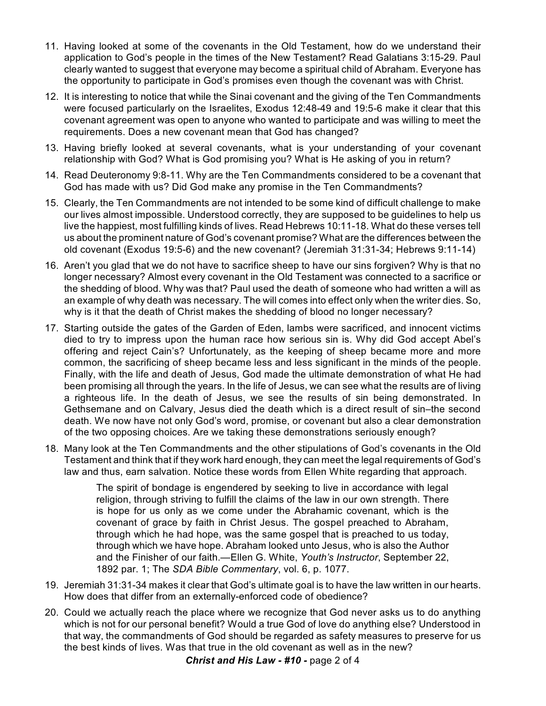- 11. Having looked at some of the covenants in the Old Testament, how do we understand their application to God's people in the times of the New Testament? Read Galatians 3:15-29. Paul clearly wanted to suggest that everyone may become a spiritual child of Abraham. Everyone has the opportunity to participate in God's promises even though the covenant was with Christ.
- 12. It is interesting to notice that while the Sinai covenant and the giving of the Ten Commandments were focused particularly on the Israelites, Exodus 12:48-49 and 19:5-6 make it clear that this covenant agreement was open to anyone who wanted to participate and was willing to meet the requirements. Does a new covenant mean that God has changed?
- 13. Having briefly looked at several covenants, what is your understanding of your covenant relationship with God? What is God promising you? What is He asking of you in return?
- 14. Read Deuteronomy 9:8-11. Why are the Ten Commandments considered to be a covenant that God has made with us? Did God make any promise in the Ten Commandments?
- 15. Clearly, the Ten Commandments are not intended to be some kind of difficult challenge to make our lives almost impossible. Understood correctly, they are supposed to be guidelines to help us live the happiest, most fulfilling kinds of lives. Read Hebrews 10:11-18. What do these verses tell us about the prominent nature of God's covenant promise? What are the differences between the old covenant (Exodus 19:5-6) and the new covenant? (Jeremiah 31:31-34; Hebrews 9:11-14)
- 16. Aren't you glad that we do not have to sacrifice sheep to have our sins forgiven? Why is that no longer necessary? Almost every covenant in the Old Testament was connected to a sacrifice or the shedding of blood. Why was that? Paul used the death of someone who had written a will as an example of why death was necessary. The will comes into effect only when the writer dies. So, why is it that the death of Christ makes the shedding of blood no longer necessary?
- 17. Starting outside the gates of the Garden of Eden, lambs were sacrificed, and innocent victims died to try to impress upon the human race how serious sin is. Why did God accept Abel's offering and reject Cain's? Unfortunately, as the keeping of sheep became more and more common, the sacrificing of sheep became less and less significant in the minds of the people. Finally, with the life and death of Jesus, God made the ultimate demonstration of what He had been promising all through the years. In the life of Jesus, we can see what the results are of living a righteous life. In the death of Jesus, we see the results of sin being demonstrated. In Gethsemane and on Calvary, Jesus died the death which is a direct result of sin–the second death. We now have not only God's word, promise, or covenant but also a clear demonstration of the two opposing choices. Are we taking these demonstrations seriously enough?
- 18. Many look at the Ten Commandments and the other stipulations of God's covenants in the Old Testament and think that if they work hard enough, they can meet the legal requirements of God's law and thus, earn salvation. Notice these words from Ellen White regarding that approach.

The spirit of bondage is engendered by seeking to live in accordance with legal religion, through striving to fulfill the claims of the law in our own strength. There is hope for us only as we come under the Abrahamic covenant, which is the covenant of grace by faith in Christ Jesus. The gospel preached to Abraham, through which he had hope, was the same gospel that is preached to us today, through which we have hope. Abraham looked unto Jesus, who is also the Author and the Finisher of our faith.—Ellen G. White, *Youth's Instructor*, September 22, 1892 par. 1; The *SDA Bible Commentary*, vol. 6, p. 1077.

- 19. Jeremiah 31:31-34 makes it clear that God's ultimate goal is to have the law written in our hearts. How does that differ from an externally-enforced code of obedience?
- 20. Could we actually reach the place where we recognize that God never asks us to do anything which is not for our personal benefit? Would a true God of love do anything else? Understood in that way, the commandments of God should be regarded as safety measures to preserve for us the best kinds of lives. Was that true in the old covenant as well as in the new?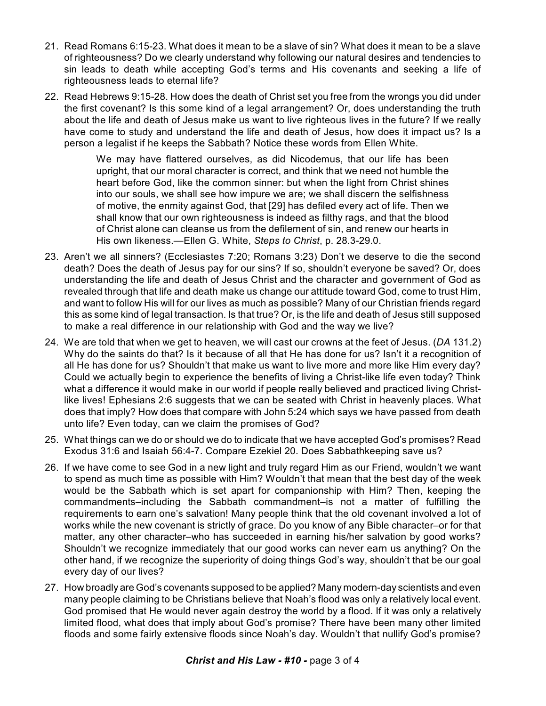- 21. Read Romans 6:15-23. What does it mean to be a slave of sin? What does it mean to be a slave of righteousness? Do we clearly understand why following our natural desires and tendencies to sin leads to death while accepting God's terms and His covenants and seeking a life of righteousness leads to eternal life?
- 22. Read Hebrews 9:15-28. How does the death of Christ set you free from the wrongs you did under the first covenant? Is this some kind of a legal arrangement? Or, does understanding the truth about the life and death of Jesus make us want to live righteous lives in the future? If we really have come to study and understand the life and death of Jesus, how does it impact us? Is a person a legalist if he keeps the Sabbath? Notice these words from Ellen White.

We may have flattered ourselves, as did Nicodemus, that our life has been upright, that our moral character is correct, and think that we need not humble the heart before God, like the common sinner: but when the light from Christ shines into our souls, we shall see how impure we are; we shall discern the selfishness of motive, the enmity against God, that [29] has defiled every act of life. Then we shall know that our own righteousness is indeed as filthy rags, and that the blood of Christ alone can cleanse us from the defilement of sin, and renew our hearts in His own likeness.—Ellen G. White, *Steps to Christ*, p. 28.3-29.0.

- 23. Aren't we all sinners? (Ecclesiastes 7:20; Romans 3:23) Don't we deserve to die the second death? Does the death of Jesus pay for our sins? If so, shouldn't everyone be saved? Or, does understanding the life and death of Jesus Christ and the character and government of God as revealed through that life and death make us change our attitude toward God, come to trust Him, and want to follow His will for our lives as much as possible? Many of our Christian friends regard this as some kind of legal transaction. Is that true? Or, is the life and death of Jesus still supposed to make a real difference in our relationship with God and the way we live?
- 24. We are told that when we get to heaven, we will cast our crowns at the feet of Jesus. (*DA* 131.2) Why do the saints do that? Is it because of all that He has done for us? Isn't it a recognition of all He has done for us? Shouldn't that make us want to live more and more like Him every day? Could we actually begin to experience the benefits of living a Christ-like life even today? Think what a difference it would make in our world if people really believed and practiced living Christlike lives! Ephesians 2:6 suggests that we can be seated with Christ in heavenly places. What does that imply? How does that compare with John 5:24 which says we have passed from death unto life? Even today, can we claim the promises of God?
- 25. What things can we do or should we do to indicate that we have accepted God's promises? Read Exodus 31:6 and Isaiah 56:4-7. Compare Ezekiel 20. Does Sabbathkeeping save us?
- 26. If we have come to see God in a new light and truly regard Him as our Friend, wouldn't we want to spend as much time as possible with Him? Wouldn't that mean that the best day of the week would be the Sabbath which is set apart for companionship with Him? Then, keeping the commandments–including the Sabbath commandment–is not a matter of fulfilling the requirements to earn one's salvation! Many people think that the old covenant involved a lot of works while the new covenant is strictly of grace. Do you know of any Bible character–or for that matter, any other character–who has succeeded in earning his/her salvation by good works? Shouldn't we recognize immediately that our good works can never earn us anything? On the other hand, if we recognize the superiority of doing things God's way, shouldn't that be our goal every day of our lives?
- 27. How broadly are God's covenants supposed to be applied? Many modern-day scientists and even many people claiming to be Christians believe that Noah's flood was only a relatively local event. God promised that He would never again destroy the world by a flood. If it was only a relatively limited flood, what does that imply about God's promise? There have been many other limited floods and some fairly extensive floods since Noah's day. Wouldn't that nullify God's promise?